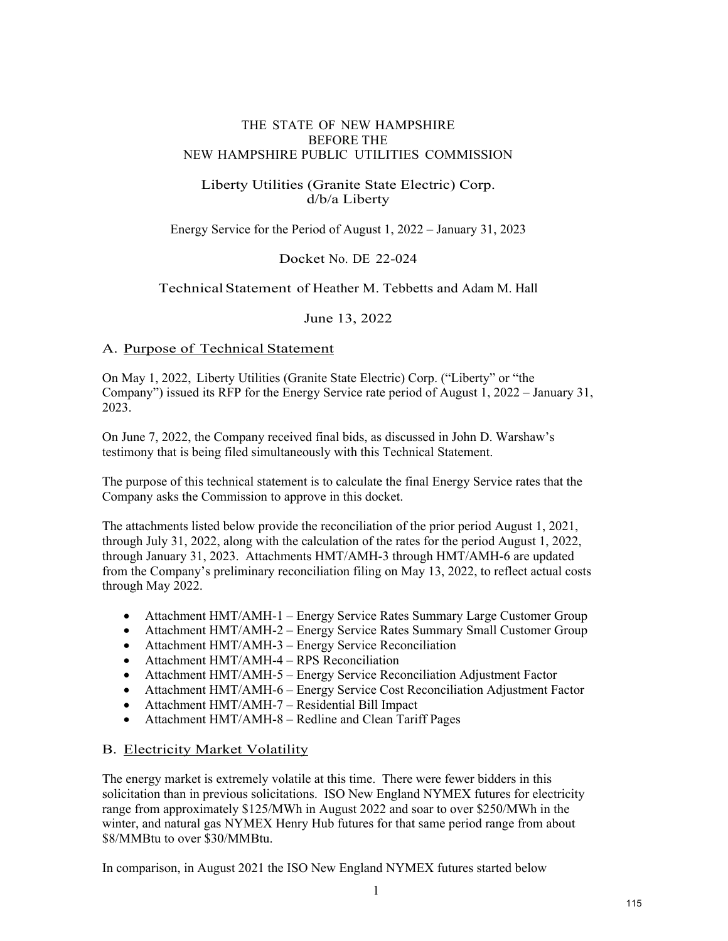#### THE STATE OF NEW HAMPSHIRE BEFORE THE NEW HAMPSHIRE PUBLIC UTILITIES COMMISSION

### Liberty Utilities (Granite State Electric) Corp. d/b/a Liberty

Energy Service for the Period of August 1, 2022 – January 31, 2023

Docket No. DE 22-024

#### Technical Statement of Heather M. Tebbetts and Adam M. Hall

June 13, 2022

#### A. Purpose of Technical Statement

On May 1, 2022, Liberty Utilities (Granite State Electric) Corp. ("Liberty" or "the Company") issued its RFP for the Energy Service rate period of August 1, 2022 – January 31, 2023.

On June 7, 2022, the Company received final bids, as discussed in John D. Warshaw's testimony that is being filed simultaneously with this Technical Statement.

The purpose of this technical statement is to calculate the final Energy Service rates that the Company asks the Commission to approve in this docket.

The attachments listed below provide the reconciliation of the prior period August 1, 2021, through July 31, 2022, along with the calculation of the rates for the period August 1, 2022, through January 31, 2023. Attachments HMT/AMH-3 through HMT/AMH-6 are updated from the Company's preliminary reconciliation filing on May 13, 2022, to reflect actual costs through May 2022.

- Attachment HMT/AMH-1 Energy Service Rates Summary Large Customer Group
- Attachment HMT/AMH-2 Energy Service Rates Summary Small Customer Group
- Attachment HMT/AMH-3 Energy Service Reconciliation
- Attachment HMT/AMH-4 RPS Reconciliation
- Attachment HMT/AMH-5 Energy Service Reconciliation Adjustment Factor
- Attachment HMT/AMH-6 Energy Service Cost Reconciliation Adjustment Factor
- Attachment HMT/AMH-7 Residential Bill Impact
- Attachment HMT/AMH-8 Redline and Clean Tariff Pages

#### B. Electricity Market Volatility

The energy market is extremely volatile at this time. There were fewer bidders in this solicitation than in previous solicitations. ISO New England NYMEX futures for electricity range from approximately \$125/MWh in August 2022 and soar to over \$250/MWh in the winter, and natural gas NYMEX Henry Hub futures for that same period range from about \$8/MMBtu to over \$30/MMBtu.

In comparison, in August 2021 the ISO New England NYMEX futures started below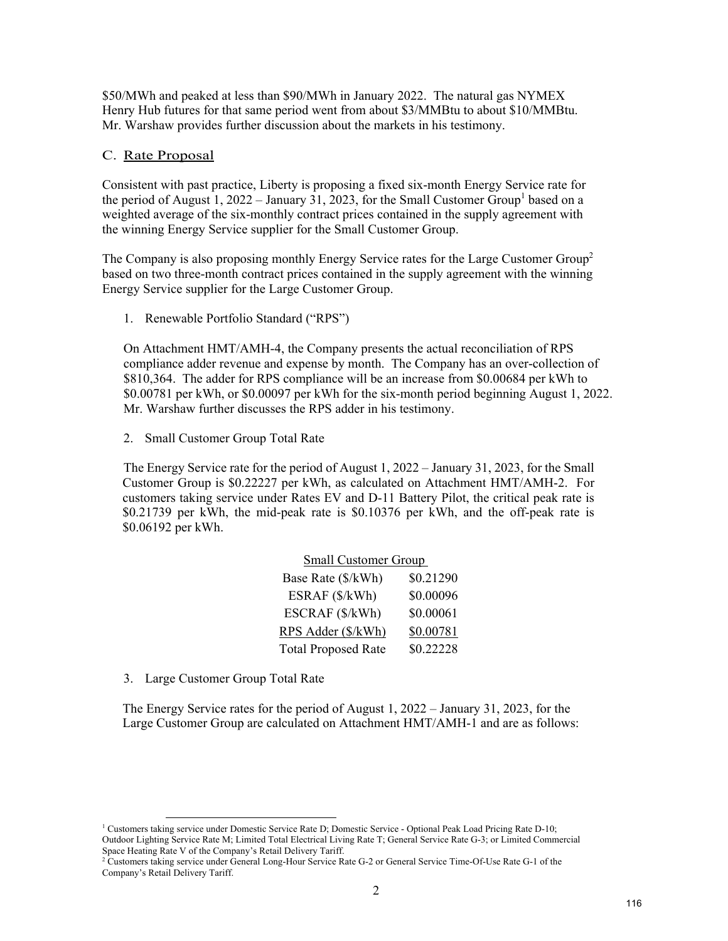\$50/MWh and peaked at less than \$90/MWh in January 2022. The natural gas NYMEX Henry Hub futures for that same period went from about \$3/MMBtu to about \$10/MMBtu. Mr. Warshaw provides further discussion about the markets in his testimony.

#### C. Rate Proposal

Consistent with past practice, Liberty is proposing a fixed six-month Energy Service rate for the period of August 1, 2022 – January 31, 2023, for the Small Customer Group<sup>1</sup> based on a weighted average of the six-monthly contract prices contained in the supply agreement with the winning Energy Service supplier for the Small Customer Group.

The Company is also proposing monthly Energy Service rates for the Large Customer Group<sup>2</sup> based on two three-month contract prices contained in the supply agreement with the winning Energy Service supplier for the Large Customer Group.

1. Renewable Portfolio Standard ("RPS")

On Attachment HMT/AMH-4, the Company presents the actual reconciliation of RPS compliance adder revenue and expense by month. The Company has an over-collection of \$810,364. The adder for RPS compliance will be an increase from \$0.00684 per kWh to \$0.00781 per kWh, or \$0.00097 per kWh for the six-month period beginning August 1, 2022. Mr. Warshaw further discusses the RPS adder in his testimony.

2. Small Customer Group Total Rate

The Energy Service rate for the period of August 1, 2022 – January 31, 2023, for the Small Customer Group is \$0.22227 per kWh, as calculated on Attachment HMT/AMH-2. For customers taking service under Rates EV and D-11 Battery Pilot, the critical peak rate is \$0.21739 per kWh, the mid-peak rate is \$0.10376 per kWh, and the off-peak rate is \$0.06192 per kWh.

| <b>Small Customer Group</b> |           |  |  |  |  |
|-----------------------------|-----------|--|--|--|--|
| Base Rate (\$/kWh)          | \$0.21290 |  |  |  |  |
| ESRAF (\$/kWh)              | \$0.00096 |  |  |  |  |
| ESCRAF (\$/kWh)             | \$0.00061 |  |  |  |  |
| RPS Adder (\$/kWh)          | \$0.00781 |  |  |  |  |
| <b>Total Proposed Rate</b>  | \$0.22228 |  |  |  |  |

3. Large Customer Group Total Rate

The Energy Service rates for the period of August 1, 2022 – January 31, 2023, for the Large Customer Group are calculated on Attachment HMT/AMH-1 and are as follows:

<sup>&</sup>lt;sup>1</sup> Customers taking service under Domestic Service Rate D; Domestic Service - Optional Peak Load Pricing Rate D-10; Outdoor Lighting Service Rate M; Limited Total Electrical Living Rate T; General Service Rate G-3; or Limited Commercial Space Heating Rate V of the Company's Retail Delivery Tariff.

<sup>2</sup> Customers taking service under General Long-Hour Service Rate G-2 or General Service Time-Of-Use Rate G-1 of the Company's Retail Delivery Tariff.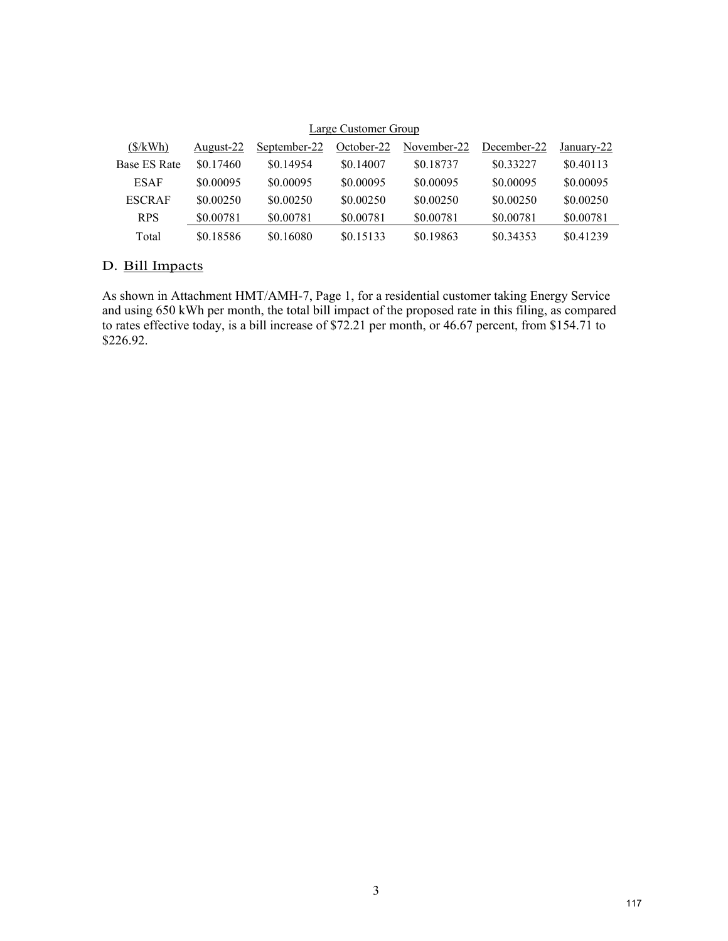| Large Customer Group<br>$(\frac{S}{kWh})$<br>November-22<br>October-22<br>December-22<br>September-22<br>August-22<br>January-22 |           |           |           |           |           |           |
|----------------------------------------------------------------------------------------------------------------------------------|-----------|-----------|-----------|-----------|-----------|-----------|
|                                                                                                                                  |           |           |           |           |           |           |
| Base ES Rate                                                                                                                     | \$0.17460 | \$0.14954 | \$0.14007 | \$0.18737 | \$0.33227 | \$0.40113 |
| <b>ESAF</b>                                                                                                                      | \$0,00095 | \$0,00095 | \$0.00095 | \$0,00095 | \$0,00095 | \$0.00095 |
| <b>ESCRAF</b>                                                                                                                    | \$0.00250 | \$0.00250 | \$0.00250 | \$0.00250 | \$0.00250 | \$0.00250 |
| <b>RPS</b>                                                                                                                       | \$0.00781 | \$0.00781 | \$0.00781 | \$0.00781 | \$0.00781 | \$0.00781 |
| Total                                                                                                                            | \$0.18586 | \$0.16080 | \$0.15133 | \$0.19863 | \$0.34353 | \$0.41239 |

## Large Customer Group

## D. Bill Impacts

As shown in Attachment HMT/AMH-7, Page 1, for a residential customer taking Energy Service and using 650 kWh per month, the total bill impact of the proposed rate in this filing, as compared to rates effective today, is a bill increase of \$72.21 per month, or 46.67 percent, from \$154.71 to \$226.92.